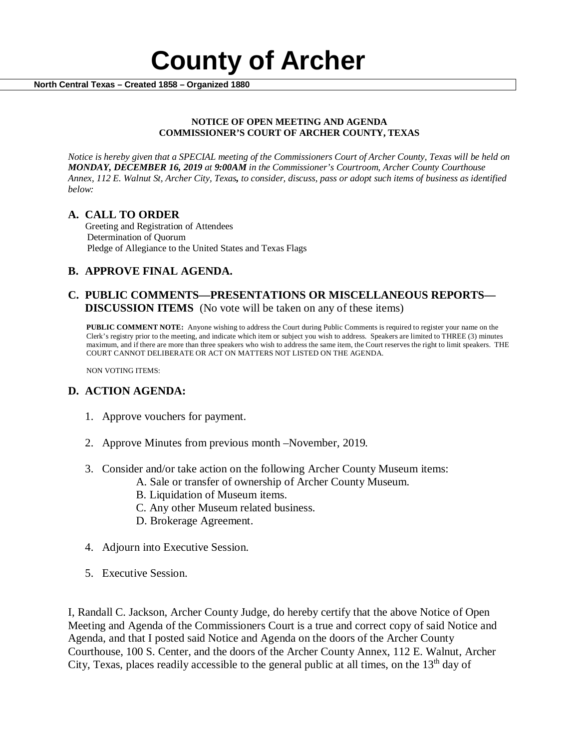

### **NOTICE OF OPEN MEETING AND AGENDA COMMISSIONER'S COURT OF ARCHER COUNTY, TEXAS**

*Notice is hereby given that a SPECIAL meeting of the Commissioners Court of Archer County, Texas will be held on MONDAY, DECEMBER 16, 2019 at 9:00AM in the Commissioner's Courtroom, Archer County Courthouse Annex, 112 E. Walnut St, Archer City, Texas, to consider, discuss, pass or adopt such items of business as identified below:*

**A. CALL TO ORDER** Greeting and Registration of Attendees Determination of Quorum Pledge of Allegiance to the United States and Texas Flags

# **B. APPROVE FINAL AGENDA.**

## **C. PUBLIC COMMENTS—PRESENTATIONS OR MISCELLANEOUS REPORTS— DISCUSSION ITEMS** (No vote will be taken on any of these items)

**PUBLIC COMMENT NOTE:** Anyone wishing to address the Court during Public Comments is required to register your name on the Clerk's registry prior to the meeting, and indicate which item or subject you wish to address. Speakers are limited to THREE (3) minutes maximum, and if there are more than three speakers who wish to address the same item, the Court reserves the right to limit speakers. THE COURT CANNOT DELIBERATE OR ACT ON MATTERS NOT LISTED ON THE AGENDA.

NON VOTING ITEMS:

# **D. ACTION AGENDA:**

- 1. Approve vouchers for payment.
- 2. Approve Minutes from previous month –November, 2019*.*
- 3. Consider and/or take action on the following Archer County Museum items:
	- A. Sale or transfer of ownership of Archer County Museum.
		- B. Liquidation of Museum items.
		- C. Any other Museum related business.
		- D. Brokerage Agreement.
- 4. Adjourn into Executive Session.
- 5. Executive Session.

I, Randall C. Jackson, Archer County Judge, do hereby certify that the above Notice of Open Meeting and Agenda of the Commissioners Court is a true and correct copy of said Notice and Agenda, and that I posted said Notice and Agenda on the doors of the Archer County Courthouse, 100 S. Center, and the doors of the Archer County Annex, 112 E. Walnut, Archer City, Texas, places readily accessible to the general public at all times, on the  $13<sup>th</sup>$  day of